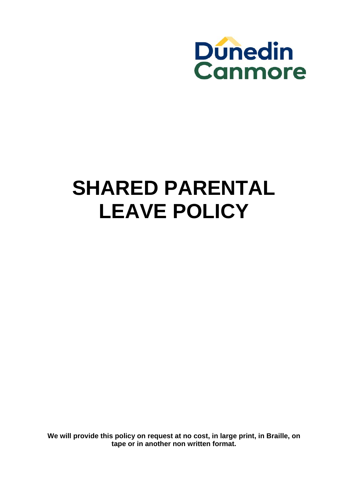

# **SHARED PARENTAL LEAVE POLICY**

**We will provide this policy on request at no cost, in large print, in Braille, on tape or in another non written format.**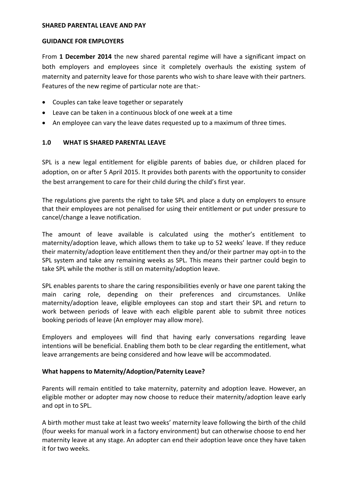#### **SHARED PARENTAL LEAVE AND PAY**

#### **GUIDANCE FOR EMPLOYERS**

From **1 December 2014** the new shared parental regime will have a significant impact on both employers and employees since it completely overhauls the existing system of maternity and paternity leave for those parents who wish to share leave with their partners. Features of the new regime of particular note are that:‐

- Couples can take leave together or separately
- Leave can be taken in a continuous block of one week at a time
- An employee can vary the leave dates requested up to a maximum of three times.

#### **1.0 WHAT IS SHARED PARENTAL LEAVE**

SPL is a new legal entitlement for eligible parents of babies due, or children placed for adoption, on or after 5 April 2015. It provides both parents with the opportunity to consider the best arrangement to care for their child during the child's first year.

The regulations give parents the right to take SPL and place a duty on employers to ensure that their employees are not penalised for using their entitlement or put under pressure to cancel/change a leave notification.

The amount of leave available is calculated using the mother's entitlement to maternity/adoption leave, which allows them to take up to 52 weeks' leave. If they reduce their maternity/adoption leave entitlement then they and/or their partner may opt‐in to the SPL system and take any remaining weeks as SPL. This means their partner could begin to take SPL while the mother is still on maternity/adoption leave.

SPL enables parents to share the caring responsibilities evenly or have one parent taking the main caring role, depending on their preferences and circumstances. Unlike maternity/adoption leave, eligible employees can stop and start their SPL and return to work between periods of leave with each eligible parent able to submit three notices booking periods of leave (An employer may allow more).

Employers and employees will find that having early conversations regarding leave intentions will be beneficial. Enabling them both to be clear regarding the entitlement, what leave arrangements are being considered and how leave will be accommodated.

#### **What happens to Maternity/Adoption/Paternity Leave?**

Parents will remain entitled to take maternity, paternity and adoption leave. However, an eligible mother or adopter may now choose to reduce their maternity/adoption leave early and opt in to SPL.

A birth mother must take at least two weeks' maternity leave following the birth of the child (four weeks for manual work in a factory environment) but can otherwise choose to end her maternity leave at any stage. An adopter can end their adoption leave once they have taken it for two weeks.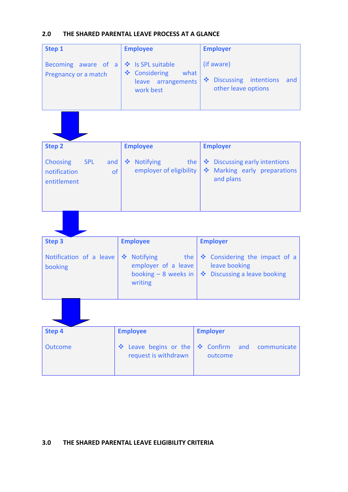## **2.0 THE SHARED PARENTAL LEAVE PROCESS AT A GLANCE**

| Step 1                                                                    | <b>Employee</b>                                                                                     | <b>Employer</b>                                                              |
|---------------------------------------------------------------------------|-----------------------------------------------------------------------------------------------------|------------------------------------------------------------------------------|
| Becoming aware of a<br>Pregnancy or a match                               | ❖ Is SPL suitable<br>❖ Considering<br>what<br>leave arrangements<br>work best                       | (if aware)<br>Discussing intentions<br>and<br>other leave options            |
|                                                                           |                                                                                                     |                                                                              |
| <b>Step 2</b>                                                             | <b>Employee</b>                                                                                     | <b>Employer</b>                                                              |
| <b>Choosing</b><br><b>SPL</b><br>and<br>notification<br>of<br>entitlement | ❖ Notifying<br>the<br>employer of eligibility                                                       | ❖ Discussing early intentions<br>Marking early preparations<br>and plans     |
|                                                                           |                                                                                                     |                                                                              |
| <b>Step 3</b>                                                             | <b>Employee</b>                                                                                     | <b>Employer</b>                                                              |
| Notification of a leave<br>booking                                        | <b>Notifying</b><br>$\frac{1}{2}$<br>the<br>employer of a leave<br>booking $-8$ weeks in<br>writing | Considering the impact of a<br>leave booking<br>❖ Discussing a leave booking |
|                                                                           |                                                                                                     |                                                                              |
| <b>Step 4</b>                                                             | <b>Employee</b>                                                                                     | <b>Employer</b>                                                              |
| <b>Outcome</b>                                                            | Leave begins or the<br>request is withdrawn                                                         | ❖ Confirm<br>and<br>communicate<br>outcome                                   |

## **3.0 THE SHARED PARENTAL LEAVE ELIGIBILITY CRITERIA**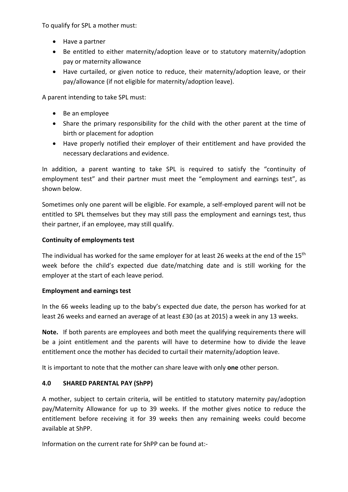To qualify for SPL a mother must:

- Have a partner
- Be entitled to either maternity/adoption leave or to statutory maternity/adoption pay or maternity allowance
- Have curtailed, or given notice to reduce, their maternity/adoption leave, or their pay/allowance (if not eligible for maternity/adoption leave).

A parent intending to take SPL must:

- Be an employee
- Share the primary responsibility for the child with the other parent at the time of birth or placement for adoption
- Have properly notified their employer of their entitlement and have provided the necessary declarations and evidence.

In addition, a parent wanting to take SPL is required to satisfy the "continuity of employment test" and their partner must meet the "employment and earnings test", as shown below.

Sometimes only one parent will be eligible. For example, a self-employed parent will not be entitled to SPL themselves but they may still pass the employment and earnings test, thus their partner, if an employee, may still qualify.

# **Continuity of employments test**

The individual has worked for the same employer for at least 26 weeks at the end of the 15<sup>th</sup> week before the child's expected due date/matching date and is still working for the employer at the start of each leave period.

## **Employment and earnings test**

In the 66 weeks leading up to the baby's expected due date, the person has worked for at least 26 weeks and earned an average of at least £30 (as at 2015) a week in any 13 weeks.

**Note.** If both parents are employees and both meet the qualifying requirements there will be a joint entitlement and the parents will have to determine how to divide the leave entitlement once the mother has decided to curtail their maternity/adoption leave.

It is important to note that the mother can share leave with only **one** other person.

# **4.0 SHARED PARENTAL PAY (ShPP)**

A mother, subject to certain criteria, will be entitled to statutory maternity pay/adoption pay/Maternity Allowance for up to 39 weeks. If the mother gives notice to reduce the entitlement before receiving it for 39 weeks then any remaining weeks could become available at ShPP.

Information on the current rate for ShPP can be found at:‐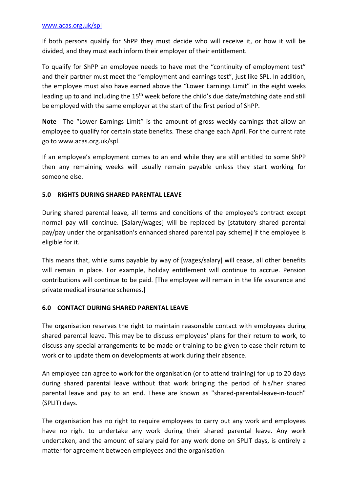If both persons qualify for ShPP they must decide who will receive it, or how it will be divided, and they must each inform their employer of their entitlement.

To qualify for ShPP an employee needs to have met the "continuity of employment test" and their partner must meet the "employment and earnings test", just like SPL. In addition, the employee must also have earned above the "Lower Earnings Limit" in the eight weeks leading up to and including the 15<sup>th</sup> week before the child's due date/matching date and still be employed with the same employer at the start of the first period of ShPP.

**Note** The "Lower Earnings Limit" is the amount of gross weekly earnings that allow an employee to qualify for certain state benefits. These change each April. For the current rate go to www.acas.org.uk/spl.

If an employee's employment comes to an end while they are still entitled to some ShPP then any remaining weeks will usually remain payable unless they start working for someone else.

# **5.0 RIGHTS DURING SHARED PARENTAL LEAVE**

During shared parental leave, all terms and conditions of the employee's contract except normal pay will continue. [Salary/wages] will be replaced by [statutory shared parental pay/pay under the organisation's enhanced shared parental pay scheme] if the employee is eligible for it.

This means that, while sums payable by way of [wages/salary] will cease, all other benefits will remain in place. For example, holiday entitlement will continue to accrue. Pension contributions will continue to be paid. [The employee will remain in the life assurance and private medical insurance schemes.]

## **6.0 CONTACT DURING SHARED PARENTAL LEAVE**

The organisation reserves the right to maintain reasonable contact with employees during shared parental leave. This may be to discuss employees' plans for their return to work, to discuss any special arrangements to be made or training to be given to ease their return to work or to update them on developments at work during their absence.

An employee can agree to work for the organisation (or to attend training) for up to 20 days during shared parental leave without that work bringing the period of his/her shared parental leave and pay to an end. These are known as "shared‐parental‐leave‐in‐touch" (SPLIT) days.

The organisation has no right to require employees to carry out any work and employees have no right to undertake any work during their shared parental leave. Any work undertaken, and the amount of salary paid for any work done on SPLIT days, is entirely a matter for agreement between employees and the organisation.